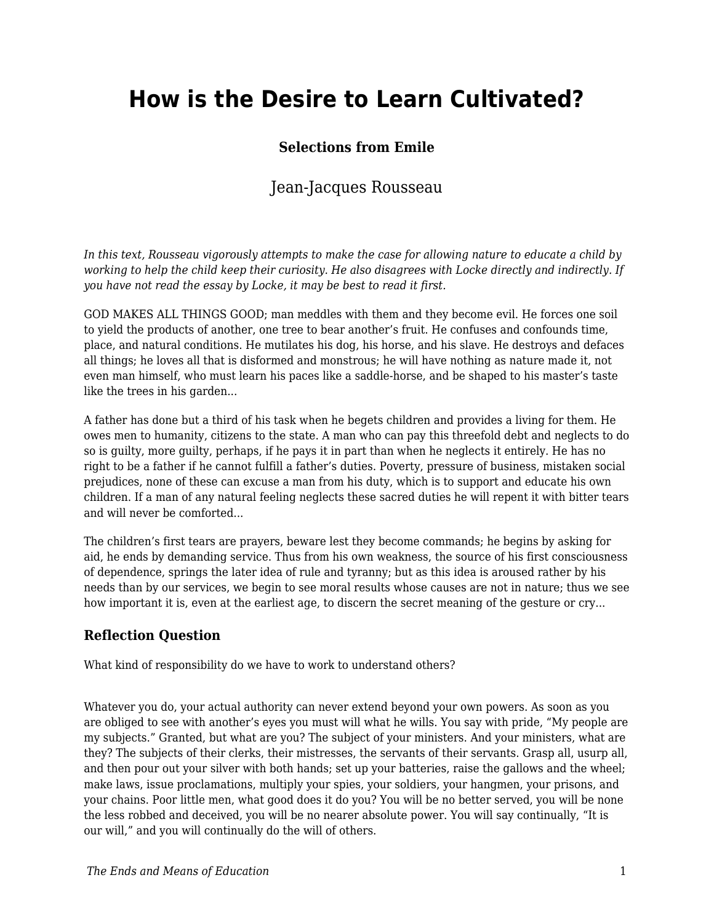# **How is the Desire to Learn Cultivated?**

### **Selections from Emile**

## Jean-Jacques Rousseau

*In this text, Rousseau vigorously attempts to make the case for allowing nature to educate a child by working to help the child keep their curiosity. He also disagrees with Locke directly and indirectly. If you have not read the essay by Locke, it may be best to read it first.* 

GOD MAKES ALL THINGS GOOD; man meddles with them and they become evil. He forces one soil to yield the products of another, one tree to bear another's fruit. He confuses and confounds time, place, and natural conditions. He mutilates his dog, his horse, and his slave. He destroys and defaces all things; he loves all that is disformed and monstrous; he will have nothing as nature made it, not even man himself, who must learn his paces like a saddle-horse, and be shaped to his master's taste like the trees in his garden...

A father has done but a third of his task when he begets children and provides a living for them. He owes men to humanity, citizens to the state. A man who can pay this threefold debt and neglects to do so is guilty, more guilty, perhaps, if he pays it in part than when he neglects it entirely. He has no right to be a father if he cannot fulfill a father's duties. Poverty, pressure of business, mistaken social prejudices, none of these can excuse a man from his duty, which is to support and educate his own children. If a man of any natural feeling neglects these sacred duties he will repent it with bitter tears and will never be comforted.

The children's first tears are prayers, beware lest they become commands; he begins by asking for aid, he ends by demanding service. Thus from his own weakness, the source of his first consciousness of dependence, springs the later idea of rule and tyranny; but as this idea is aroused rather by his needs than by our services, we begin to see moral results whose causes are not in nature; thus we see how important it is, even at the earliest age, to discern the secret meaning of the gesture or cry...

#### **Reflection Question**

What kind of responsibility do we have to work to understand others?

Whatever you do, your actual authority can never extend beyond your own powers. As soon as you are obliged to see with another's eyes you must will what he wills. You say with pride, "My people are my subjects." Granted, but what are you? The subject of your ministers. And your ministers, what are they? The subjects of their clerks, their mistresses, the servants of their servants. Grasp all, usurp all, and then pour out your silver with both hands; set up your batteries, raise the gallows and the wheel; make laws, issue proclamations, multiply your spies, your soldiers, your hangmen, your prisons, and your chains. Poor little men, what good does it do you? You will be no better served, you will be none the less robbed and deceived, you will be no nearer absolute power. You will say continually, "It is our will," and you will continually do the will of others.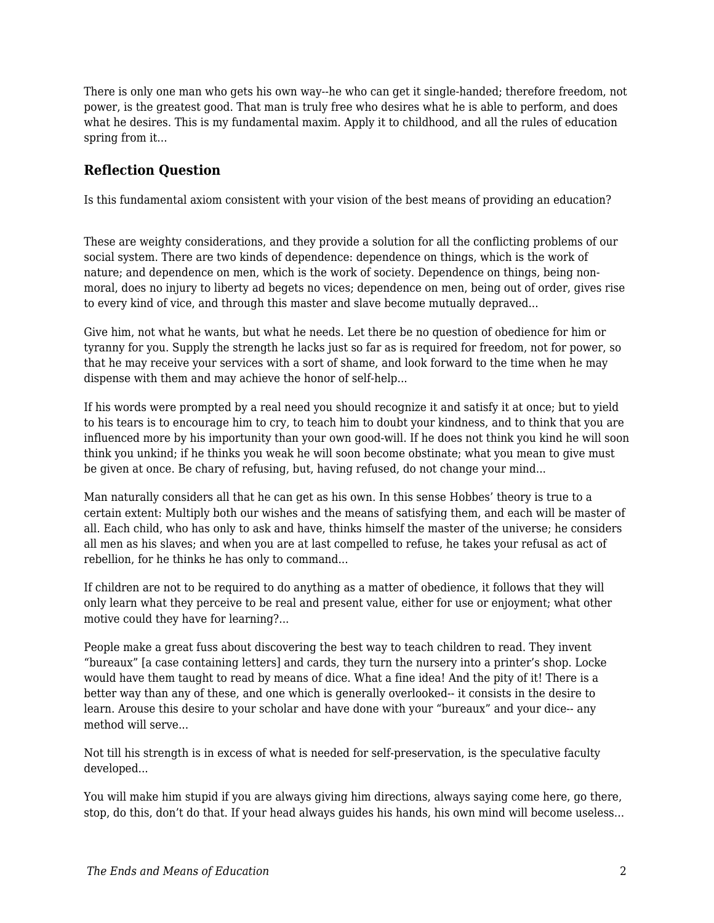There is only one man who gets his own way--he who can get it single-handed; therefore freedom, not power, is the greatest good. That man is truly free who desires what he is able to perform, and does what he desires. This is my fundamental maxim. Apply it to childhood, and all the rules of education spring from it...

## **Reflection Question**

Is this fundamental axiom consistent with your vision of the best means of providing an education?

These are weighty considerations, and they provide a solution for all the conflicting problems of our social system. There are two kinds of dependence: dependence on things, which is the work of nature; and dependence on men, which is the work of society. Dependence on things, being nonmoral, does no injury to liberty ad begets no vices; dependence on men, being out of order, gives rise to every kind of vice, and through this master and slave become mutually depraved...

Give him, not what he wants, but what he needs. Let there be no question of obedience for him or tyranny for you. Supply the strength he lacks just so far as is required for freedom, not for power, so that he may receive your services with a sort of shame, and look forward to the time when he may dispense with them and may achieve the honor of self-help...

If his words were prompted by a real need you should recognize it and satisfy it at once; but to yield to his tears is to encourage him to cry, to teach him to doubt your kindness, and to think that you are influenced more by his importunity than your own good-will. If he does not think you kind he will soon think you unkind; if he thinks you weak he will soon become obstinate; what you mean to give must be given at once. Be chary of refusing, but, having refused, do not change your mind...

Man naturally considers all that he can get as his own. In this sense Hobbes' theory is true to a certain extent: Multiply both our wishes and the means of satisfying them, and each will be master of all. Each child, who has only to ask and have, thinks himself the master of the universe; he considers all men as his slaves; and when you are at last compelled to refuse, he takes your refusal as act of rebellion, for he thinks he has only to command...

If children are not to be required to do anything as a matter of obedience, it follows that they will only learn what they perceive to be real and present value, either for use or enjoyment; what other motive could they have for learning?...

People make a great fuss about discovering the best way to teach children to read. They invent "bureaux" [a case containing letters] and cards, they turn the nursery into a printer's shop. Locke would have them taught to read by means of dice. What a fine idea! And the pity of it! There is a better way than any of these, and one which is generally overlooked-- it consists in the desire to learn. Arouse this desire to your scholar and have done with your "bureaux" and your dice-- any method will serve...

Not till his strength is in excess of what is needed for self-preservation, is the speculative faculty developed...

You will make him stupid if you are always giving him directions, always saying come here, go there, stop, do this, don't do that. If your head always guides his hands, his own mind will become useless...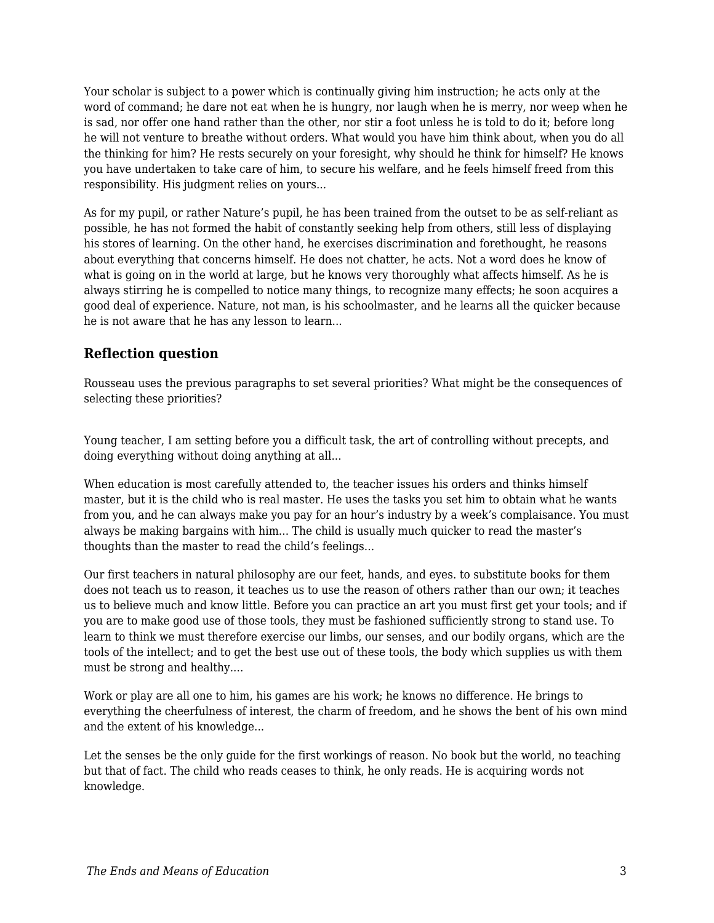Your scholar is subject to a power which is continually giving him instruction; he acts only at the word of command; he dare not eat when he is hungry, nor laugh when he is merry, nor weep when he is sad, nor offer one hand rather than the other, nor stir a foot unless he is told to do it; before long he will not venture to breathe without orders. What would you have him think about, when you do all the thinking for him? He rests securely on your foresight, why should he think for himself? He knows you have undertaken to take care of him, to secure his welfare, and he feels himself freed from this responsibility. His judgment relies on yours...

As for my pupil, or rather Nature's pupil, he has been trained from the outset to be as self-reliant as possible, he has not formed the habit of constantly seeking help from others, still less of displaying his stores of learning. On the other hand, he exercises discrimination and forethought, he reasons about everything that concerns himself. He does not chatter, he acts. Not a word does he know of what is going on in the world at large, but he knows very thoroughly what affects himself. As he is always stirring he is compelled to notice many things, to recognize many effects; he soon acquires a good deal of experience. Nature, not man, is his schoolmaster, and he learns all the quicker because he is not aware that he has any lesson to learn...

## **Reflection question**

Rousseau uses the previous paragraphs to set several priorities? What might be the consequences of selecting these priorities?

Young teacher, I am setting before you a difficult task, the art of controlling without precepts, and doing everything without doing anything at all...

When education is most carefully attended to, the teacher issues his orders and thinks himself master, but it is the child who is real master. He uses the tasks you set him to obtain what he wants from you, and he can always make you pay for an hour's industry by a week's complaisance. You must always be making bargains with him... The child is usually much quicker to read the master's thoughts than the master to read the child's feelings...

Our first teachers in natural philosophy are our feet, hands, and eyes. to substitute books for them does not teach us to reason, it teaches us to use the reason of others rather than our own; it teaches us to believe much and know little. Before you can practice an art you must first get your tools; and if you are to make good use of those tools, they must be fashioned sufficiently strong to stand use. To learn to think we must therefore exercise our limbs, our senses, and our bodily organs, which are the tools of the intellect; and to get the best use out of these tools, the body which supplies us with them must be strong and healthy....

Work or play are all one to him, his games are his work; he knows no difference. He brings to everything the cheerfulness of interest, the charm of freedom, and he shows the bent of his own mind and the extent of his knowledge...

Let the senses be the only guide for the first workings of reason. No book but the world, no teaching but that of fact. The child who reads ceases to think, he only reads. He is acquiring words not knowledge.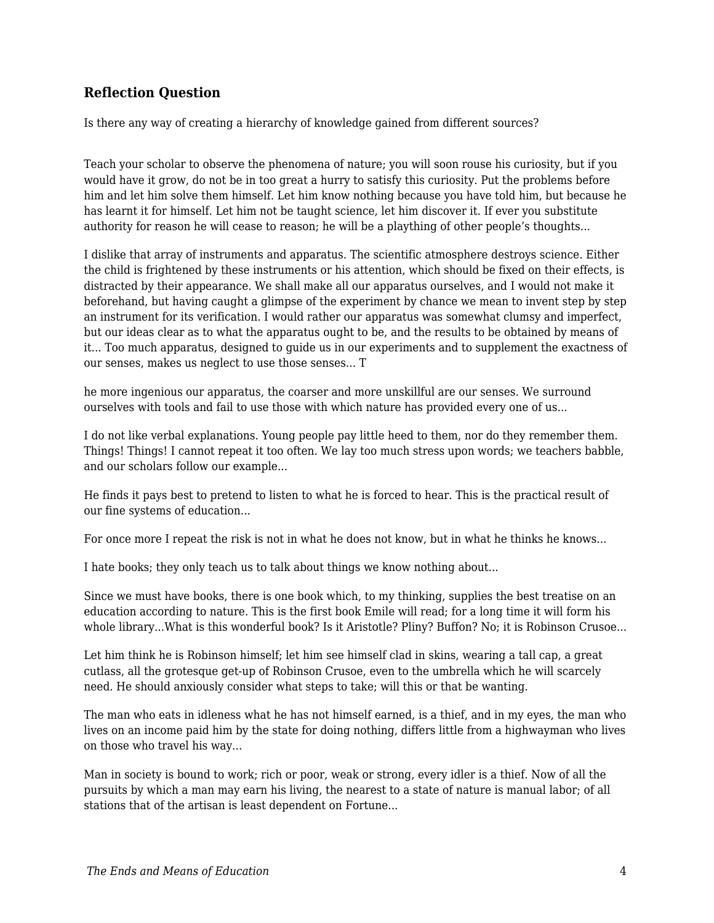## **Reflection Question**

Is there any way of creating a hierarchy of knowledge gained from different sources?

Teach your scholar to observe the phenomena of nature; you will soon rouse his curiosity, but if you would have it grow, do not be in too great a hurry to satisfy this curiosity. Put the problems before him and let him solve them himself. Let him know nothing because you have told him, but because he has learnt it for himself. Let him not be taught science, let him discover it. If ever you substitute authority for reason he will cease to reason; he will be a plaything of other people's thoughts...

I dislike that array of instruments and apparatus. The scientific atmosphere destroys science. Either the child is frightened by these instruments or his attention, which should be fixed on their effects, is distracted by their appearance. We shall make all our apparatus ourselves, and I would not make it beforehand, but having caught a glimpse of the experiment by chance we mean to invent step by step an instrument for its verification. I would rather our apparatus was somewhat clumsy and imperfect, but our ideas clear as to what the apparatus ought to be, and the results to be obtained by means of it... Too much apparatus, designed to guide us in our experiments and to supplement the exactness of our senses, makes us neglect to use those senses... T

he more ingenious our apparatus, the coarser and more unskillful are our senses. We surround ourselves with tools and fail to use those with which nature has provided every one of us...

I do not like verbal explanations. Young people pay little heed to them, nor do they remember them. Things! Things! I cannot repeat it too often. We lay too much stress upon words; we teachers babble, and our scholars follow our example...

He finds it pays best to pretend to listen to what he is forced to hear. This is the practical result of our fine systems of education...

For once more I repeat the risk is not in what he does not know, but in what he thinks he knows...

I hate books; they only teach us to talk about things we know nothing about...

Since we must have books, there is one book which, to my thinking, supplies the best treatise on an education according to nature. This is the first book Emile will read; for a long time it will form his whole library...What is this wonderful book? Is it Aristotle? Pliny? Buffon? No; it is Robinson Crusoe...

Let him think he is Robinson himself; let him see himself clad in skins, wearing a tall cap, a great cutlass, all the grotesque get-up of Robinson Crusoe, even to the umbrella which he will scarcely need. He should anxiously consider what steps to take; will this or that be wanting.

The man who eats in idleness what he has not himself earned, is a thief, and in my eyes, the man who lives on an income paid him by the state for doing nothing, differs little from a highwayman who lives on those who travel his way...

Man in society is bound to work; rich or poor, weak or strong, every idler is a thief. Now of all the pursuits by which a man may earn his living, the nearest to a state of nature is manual labor; of all stations that of the artisan is least dependent on Fortune...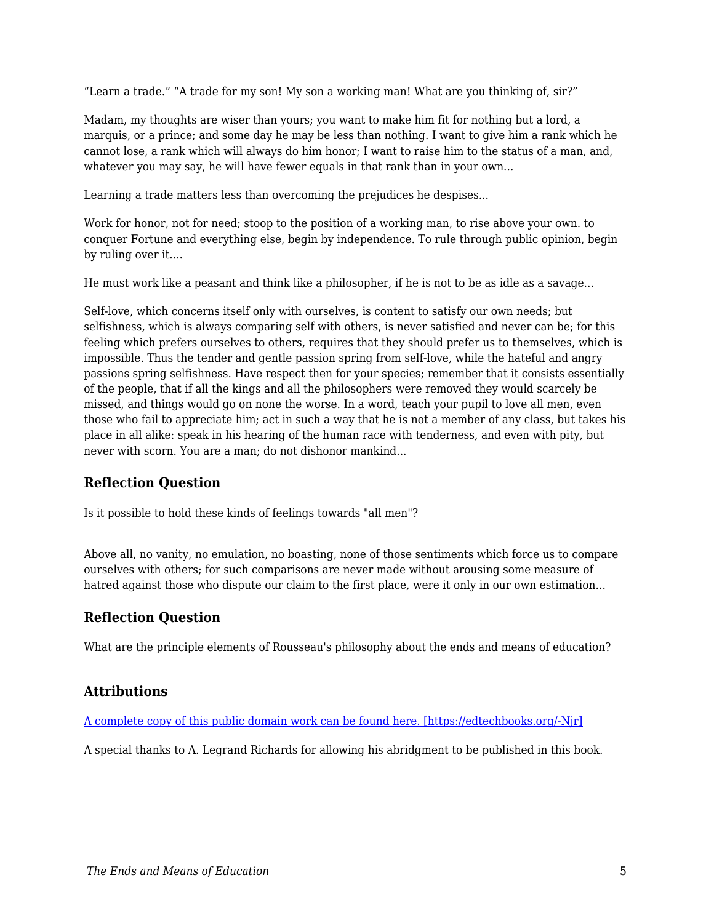"Learn a trade." "A trade for my son! My son a working man! What are you thinking of, sir?"

Madam, my thoughts are wiser than yours; you want to make him fit for nothing but a lord, a marquis, or a prince; and some day he may be less than nothing. I want to give him a rank which he cannot lose, a rank which will always do him honor; I want to raise him to the status of a man, and, whatever you may say, he will have fewer equals in that rank than in your own...

Learning a trade matters less than overcoming the prejudices he despises...

Work for honor, not for need; stoop to the position of a working man, to rise above your own. to conquer Fortune and everything else, begin by independence. To rule through public opinion, begin by ruling over it....

He must work like a peasant and think like a philosopher, if he is not to be as idle as a savage...

Self-love, which concerns itself only with ourselves, is content to satisfy our own needs; but selfishness, which is always comparing self with others, is never satisfied and never can be; for this feeling which prefers ourselves to others, requires that they should prefer us to themselves, which is impossible. Thus the tender and gentle passion spring from self-love, while the hateful and angry passions spring selfishness. Have respect then for your species; remember that it consists essentially of the people, that if all the kings and all the philosophers were removed they would scarcely be missed, and things would go on none the worse. In a word, teach your pupil to love all men, even those who fail to appreciate him; act in such a way that he is not a member of any class, but takes his place in all alike: speak in his hearing of the human race with tenderness, and even with pity, but never with scorn. You are a man; do not dishonor mankind...

#### **Reflection Question**

Is it possible to hold these kinds of feelings towards "all men"?

Above all, no vanity, no emulation, no boasting, none of those sentiments which force us to compare ourselves with others; for such comparisons are never made without arousing some measure of hatred against those who dispute our claim to the first place, were it only in our own estimation...

#### **Reflection Question**

What are the principle elements of Rousseau's philosophy about the ends and means of education?

#### **Attributions**

#### [A complete copy of this public domain work can be found here. \[https://edtechbooks.org/-Njr\]](https://archive.org/details/mileortreatiseo00rousgoog/page/n8)

A special thanks to A. Legrand Richards for allowing his abridgment to be published in this book.